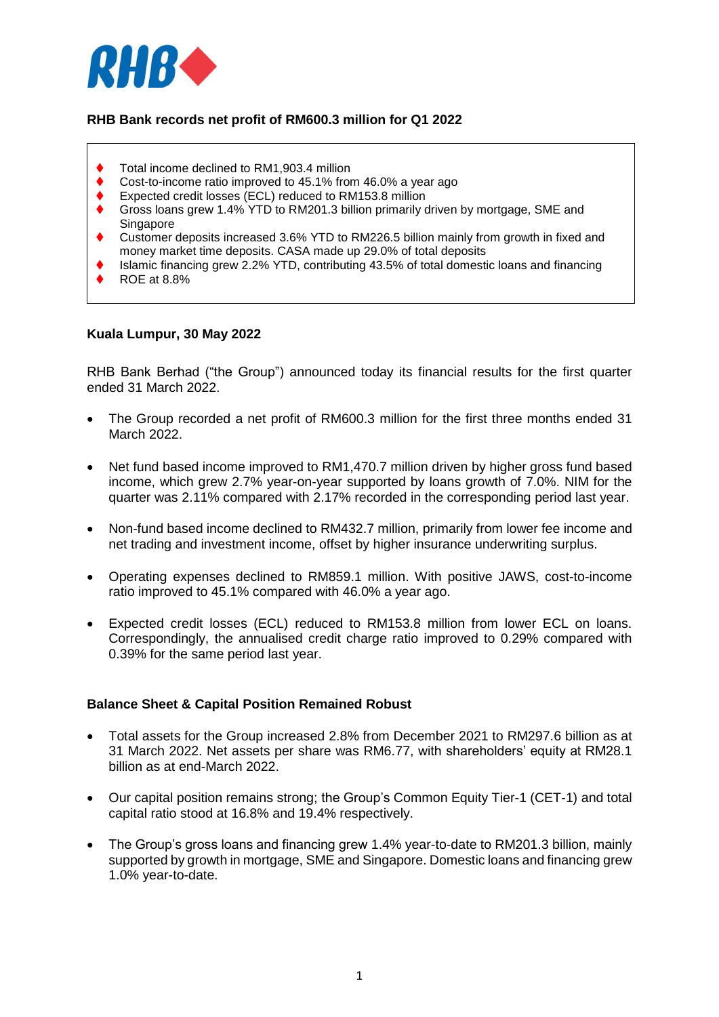

# **RHB Bank records net profit of RM600.3 million for Q1 2022**

- Total income declined to RM1,903.4 million
- Cost-to-income ratio improved to 45.1% from 46.0% a year ago
- Expected credit losses (ECL) reduced to RM153.8 million
- Gross loans grew 1.4% YTD to RM201.3 billion primarily driven by mortgage, SME and **Singapore**
- Customer deposits increased 3.6% YTD to RM226.5 billion mainly from growth in fixed and money market time deposits. CASA made up 29.0% of total deposits
- Islamic financing grew 2.2% YTD, contributing 43.5% of total domestic loans and financing
- ROE at 8.8%

### **Kuala Lumpur, 30 May 2022**

RHB Bank Berhad ("the Group") announced today its financial results for the first quarter ended 31 March 2022.

- The Group recorded a net profit of RM600.3 million for the first three months ended 31 March 2022.
- Net fund based income improved to RM1,470.7 million driven by higher gross fund based income, which grew 2.7% year-on-year supported by loans growth of 7.0%. NIM for the quarter was 2.11% compared with 2.17% recorded in the corresponding period last year.
- Non-fund based income declined to RM432.7 million, primarily from lower fee income and net trading and investment income, offset by higher insurance underwriting surplus.
- Operating expenses declined to RM859.1 million. With positive JAWS, cost-to-income ratio improved to 45.1% compared with 46.0% a year ago.
- Expected credit losses (ECL) reduced to RM153.8 million from lower ECL on loans. Correspondingly, the annualised credit charge ratio improved to 0.29% compared with 0.39% for the same period last year.

## **Balance Sheet & Capital Position Remained Robust**

- Total assets for the Group increased 2.8% from December 2021 to RM297.6 billion as at 31 March 2022. Net assets per share was RM6.77, with shareholders' equity at RM28.1 billion as at end-March 2022.
- Our capital position remains strong; the Group's Common Equity Tier-1 (CET-1) and total capital ratio stood at 16.8% and 19.4% respectively.
- The Group's gross loans and financing grew 1.4% year-to-date to RM201.3 billion, mainly supported by growth in mortgage, SME and Singapore. Domestic loans and financing grew 1.0% year-to-date.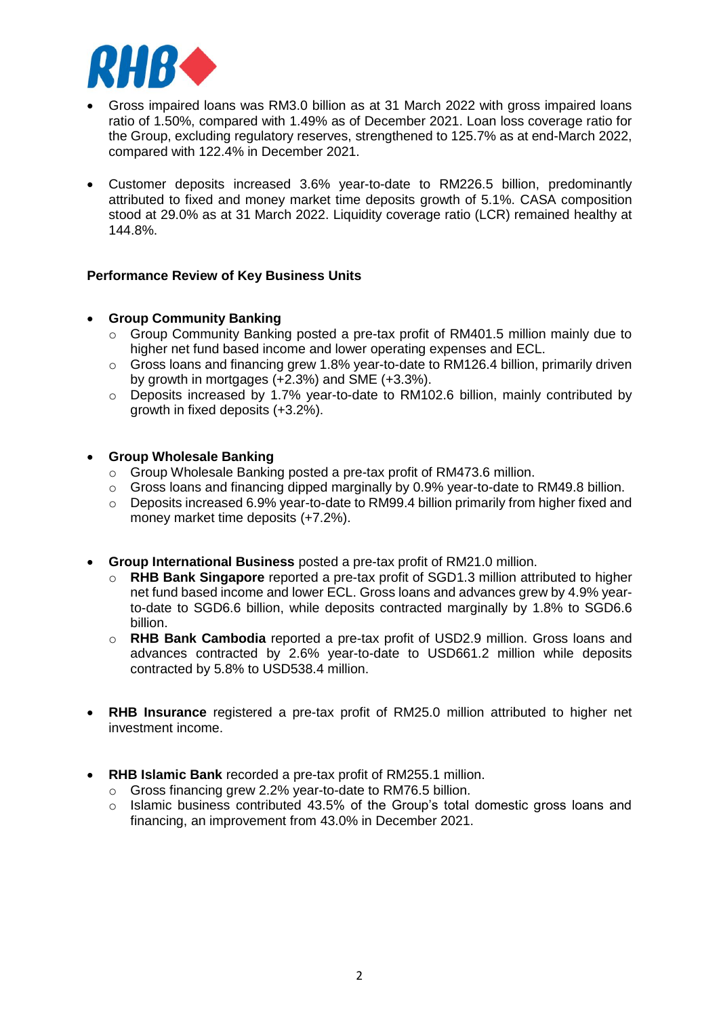

- Gross impaired loans was RM3.0 billion as at 31 March 2022 with gross impaired loans ratio of 1.50%, compared with 1.49% as of December 2021. Loan loss coverage ratio for the Group, excluding regulatory reserves, strengthened to 125.7% as at end-March 2022, compared with 122.4% in December 2021.
- Customer deposits increased 3.6% year-to-date to RM226.5 billion, predominantly attributed to fixed and money market time deposits growth of 5.1%. CASA composition stood at 29.0% as at 31 March 2022. Liquidity coverage ratio (LCR) remained healthy at 144.8%.

### **Performance Review of Key Business Units**

- **Group Community Banking**
	- o Group Community Banking posted a pre-tax profit of RM401.5 million mainly due to higher net fund based income and lower operating expenses and ECL.
	- $\circ$  Gross loans and financing grew 1.8% year-to-date to RM126.4 billion, primarily driven by growth in mortgages (+2.3%) and SME (+3.3%).
	- o Deposits increased by 1.7% year-to-date to RM102.6 billion, mainly contributed by growth in fixed deposits (+3.2%).

### **Group Wholesale Banking**

- o Group Wholesale Banking posted a pre-tax profit of RM473.6 million.
- $\circ$  Gross loans and financing dipped marginally by 0.9% year-to-date to RM49.8 billion.
- o Deposits increased 6.9% year-to-date to RM99.4 billion primarily from higher fixed and money market time deposits (+7.2%).
- **Group International Business** posted a pre-tax profit of RM21.0 million.
	- o **RHB Bank Singapore** reported a pre-tax profit of SGD1.3 million attributed to higher net fund based income and lower ECL. Gross loans and advances grew by 4.9% yearto-date to SGD6.6 billion, while deposits contracted marginally by 1.8% to SGD6.6 billion.
	- o **RHB Bank Cambodia** reported a pre-tax profit of USD2.9 million. Gross loans and advances contracted by 2.6% year-to-date to USD661.2 million while deposits contracted by 5.8% to USD538.4 million.
- **RHB Insurance** registered a pre-tax profit of RM25.0 million attributed to higher net investment income.
- **RHB Islamic Bank** recorded a pre-tax profit of RM255.1 million.
	- o Gross financing grew 2.2% year-to-date to RM76.5 billion.
	- $\circ$  Islamic business contributed 43.5% of the Group's total domestic gross loans and financing, an improvement from 43.0% in December 2021.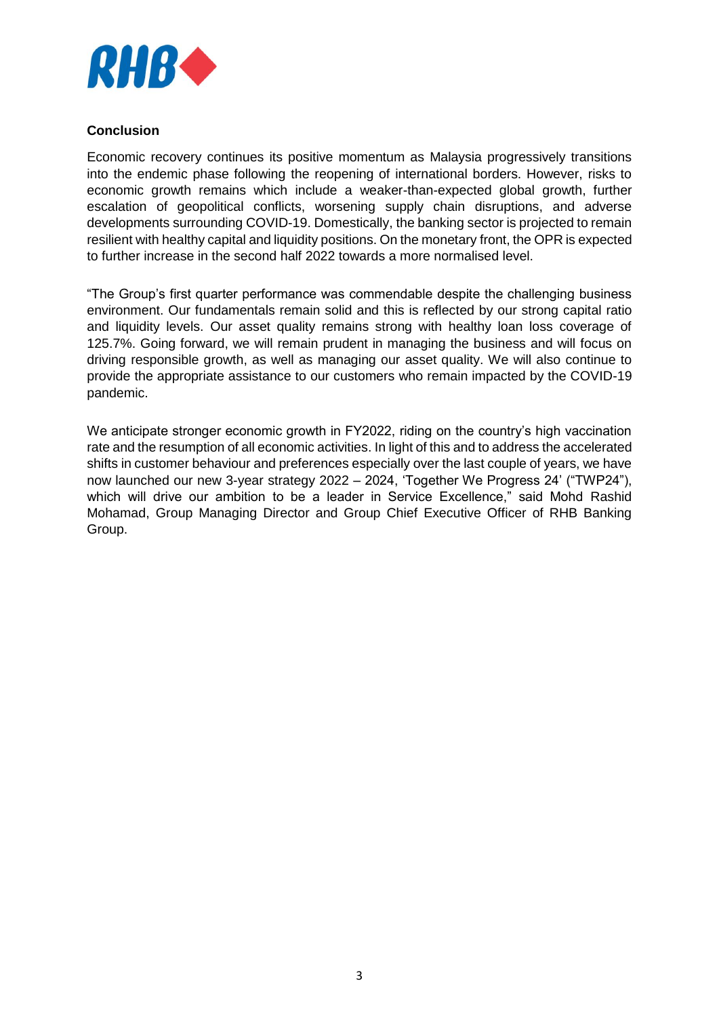

## **Conclusion**

Economic recovery continues its positive momentum as Malaysia progressively transitions into the endemic phase following the reopening of international borders. However, risks to economic growth remains which include a weaker-than-expected global growth, further escalation of geopolitical conflicts, worsening supply chain disruptions, and adverse developments surrounding COVID-19. Domestically, the banking sector is projected to remain resilient with healthy capital and liquidity positions. On the monetary front, the OPR is expected to further increase in the second half 2022 towards a more normalised level.

"The Group's first quarter performance was commendable despite the challenging business environment. Our fundamentals remain solid and this is reflected by our strong capital ratio and liquidity levels. Our asset quality remains strong with healthy loan loss coverage of 125.7%. Going forward, we will remain prudent in managing the business and will focus on driving responsible growth, as well as managing our asset quality. We will also continue to provide the appropriate assistance to our customers who remain impacted by the COVID-19 pandemic.

We anticipate stronger economic growth in FY2022, riding on the country's high vaccination rate and the resumption of all economic activities. In light of this and to address the accelerated shifts in customer behaviour and preferences especially over the last couple of years, we have now launched our new 3-year strategy 2022 – 2024, 'Together We Progress 24' ("TWP24"), which will drive our ambition to be a leader in Service Excellence," said Mohd Rashid Mohamad, Group Managing Director and Group Chief Executive Officer of RHB Banking Group.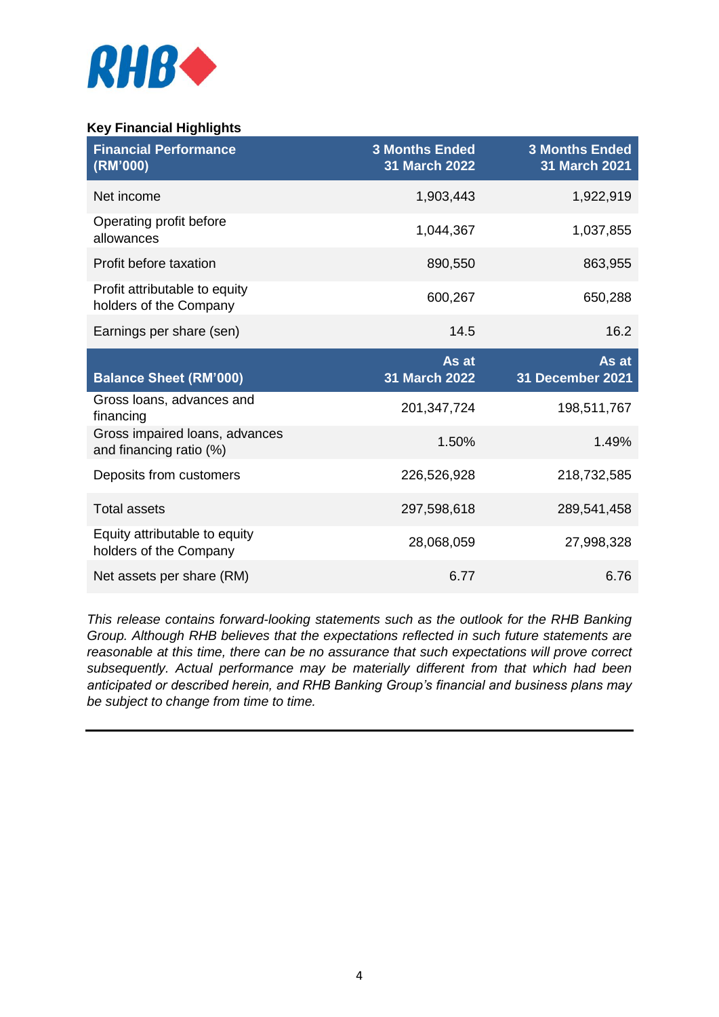

# **Key Financial Highlights**

| <b>Financial Performance</b><br>(RM'000)                  | <b>3 Months Ended</b><br>31 March 2022 | <b>3 Months Ended</b><br>31 March 2021 |
|-----------------------------------------------------------|----------------------------------------|----------------------------------------|
| Net income                                                | 1,903,443                              | 1,922,919                              |
| Operating profit before<br>allowances                     | 1,044,367                              | 1,037,855                              |
| Profit before taxation                                    | 890,550                                | 863,955                                |
| Profit attributable to equity<br>holders of the Company   | 600,267                                | 650,288                                |
| Earnings per share (sen)                                  | 14.5                                   | 16.2                                   |
| <b>Balance Sheet (RM'000)</b>                             | As at<br>31 March 2022                 | As at<br>31 December 2021              |
| Gross loans, advances and<br>financing                    | 201, 347, 724                          | 198,511,767                            |
| Gross impaired loans, advances<br>and financing ratio (%) | 1.50%                                  | 1.49%                                  |
| Deposits from customers                                   | 226,526,928                            | 218,732,585                            |
| <b>Total assets</b>                                       | 297,598,618                            | 289,541,458                            |
| Equity attributable to equity<br>holders of the Company   | 28,068,059                             | 27,998,328                             |
| Net assets per share (RM)                                 | 6.77                                   | 6.76                                   |

*This release contains forward-looking statements such as the outlook for the RHB Banking Group. Although RHB believes that the expectations reflected in such future statements are reasonable at this time, there can be no assurance that such expectations will prove correct subsequently. Actual performance may be materially different from that which had been anticipated or described herein, and RHB Banking Group's financial and business plans may be subject to change from time to time.*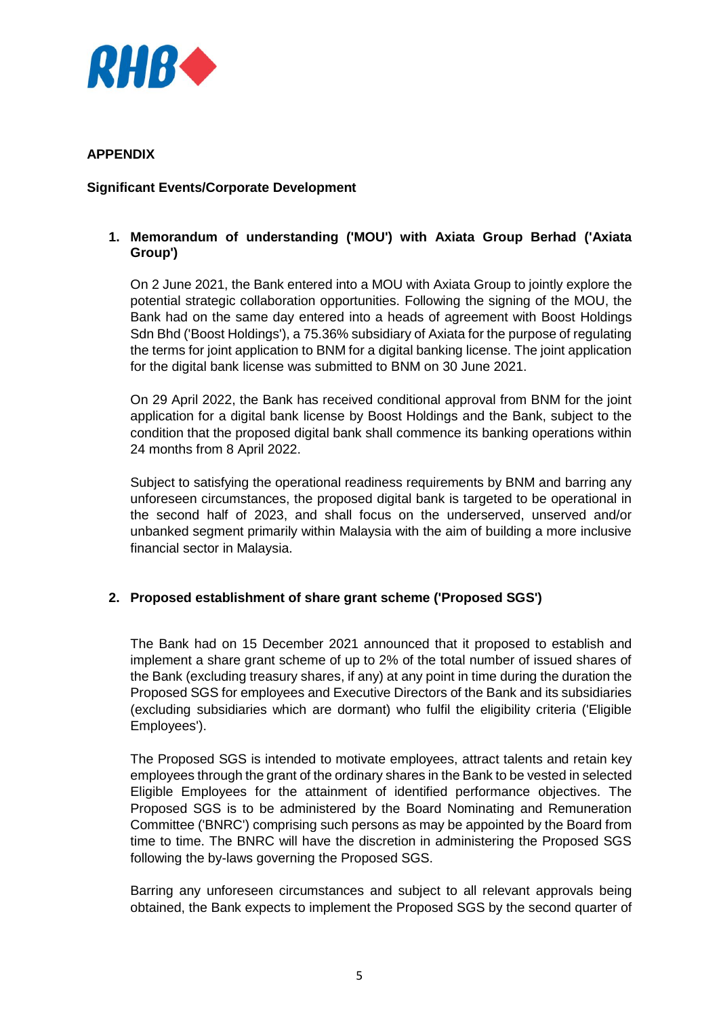

## **APPENDIX**

## **Significant Events/Corporate Development**

# **1. Memorandum of understanding ('MOU') with Axiata Group Berhad ('Axiata Group')**

On 2 June 2021, the Bank entered into a MOU with Axiata Group to jointly explore the potential strategic collaboration opportunities. Following the signing of the MOU, the Bank had on the same day entered into a heads of agreement with Boost Holdings Sdn Bhd ('Boost Holdings'), a 75.36% subsidiary of Axiata for the purpose of regulating the terms for joint application to BNM for a digital banking license. The joint application for the digital bank license was submitted to BNM on 30 June 2021.

On 29 April 2022, the Bank has received conditional approval from BNM for the joint application for a digital bank license by Boost Holdings and the Bank, subject to the condition that the proposed digital bank shall commence its banking operations within 24 months from 8 April 2022.

Subject to satisfying the operational readiness requirements by BNM and barring any unforeseen circumstances, the proposed digital bank is targeted to be operational in the second half of 2023, and shall focus on the underserved, unserved and/or unbanked segment primarily within Malaysia with the aim of building a more inclusive financial sector in Malaysia.

# **2. Proposed establishment of share grant scheme ('Proposed SGS')**

The Bank had on 15 December 2021 announced that it proposed to establish and implement a share grant scheme of up to 2% of the total number of issued shares of the Bank (excluding treasury shares, if any) at any point in time during the duration the Proposed SGS for employees and Executive Directors of the Bank and its subsidiaries (excluding subsidiaries which are dormant) who fulfil the eligibility criteria ('Eligible Employees').

The Proposed SGS is intended to motivate employees, attract talents and retain key employees through the grant of the ordinary shares in the Bank to be vested in selected Eligible Employees for the attainment of identified performance objectives. The Proposed SGS is to be administered by the Board Nominating and Remuneration Committee ('BNRC') comprising such persons as may be appointed by the Board from time to time. The BNRC will have the discretion in administering the Proposed SGS following the by-laws governing the Proposed SGS.

Barring any unforeseen circumstances and subject to all relevant approvals being obtained, the Bank expects to implement the Proposed SGS by the second quarter of